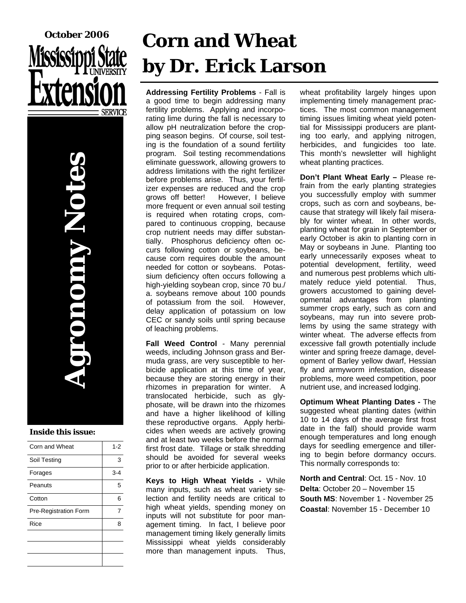



#### **Inside this issue:**

| Corn and Wheat        | $1 - 2$ |
|-----------------------|---------|
| Soil Testing          | 3       |
| Forages               | $3 - 4$ |
| Peanuts               | 5       |
| Cotton                | 6       |
| Pre-Registration Form |         |
| Rice                  | 8       |
|                       |         |
|                       |         |
|                       |         |

# **Corn and Wheat by Dr. Erick Larson**

**Addressing Fertility Problems** - Fall is a good time to begin addressing many fertility problems. Applying and incorporating lime during the fall is necessary to allow pH neutralization before the cropping season begins. Of course, soil testing is the foundation of a sound fertility program. Soil testing recommendations eliminate guesswork, allowing growers to address limitations with the right fertilizer before problems arise. Thus, your fertilizer expenses are reduced and the crop grows off better! However, I believe more frequent or even annual soil testing is required when rotating crops, compared to continuous cropping, because crop nutrient needs may differ substantially. Phosphorus deficiency often occurs following cotton or soybeans, because corn requires double the amount needed for cotton or soybeans. Potassium deficiency often occurs following a high-yielding soybean crop, since 70 bu./ a. soybeans remove about 100 pounds of potassium from the soil. However, delay application of potassium on low CEC or sandy soils until spring because of leaching problems.

**Fall Weed Control** - Many perennial weeds, including Johnson grass and Bermuda grass, are very susceptible to herbicide application at this time of year, because they are storing energy in their rhizomes in preparation for winter. A translocated herbicide, such as glyphosate, will be drawn into the rhizomes and have a higher likelihood of killing these reproductive organs. Apply herbicides when weeds are actively growing and at least two weeks before the normal first frost date. Tillage or stalk shredding should be avoided for several weeks prior to or after herbicide application.

**Keys to High Wheat Yields -** While many inputs, such as wheat variety selection and fertility needs are critical to high wheat yields, spending money on inputs will not substitute for poor management timing. In fact, I believe poor management timing likely generally limits Mississippi wheat yields considerably more than management inputs. Thus,

wheat profitability largely hinges upon implementing timely management practices. The most common management timing issues limiting wheat yield potential for Mississippi producers are planting too early, and applying nitrogen, herbicides, and fungicides too late. This month's newsletter will highlight wheat planting practices.

**Don't Plant Wheat Early –** Please refrain from the early planting strategies you successfully employ with summer crops, such as corn and soybeans, because that strategy will likely fail miserably for winter wheat. In other words, planting wheat for grain in September or early October is akin to planting corn in May or soybeans in June. Planting too early unnecessarily exposes wheat to potential development, fertility, weed and numerous pest problems which ultimately reduce yield potential. Thus, growers accustomed to gaining developmental advantages from planting summer crops early, such as corn and soybeans, may run into severe problems by using the same strategy with winter wheat. The adverse effects from excessive fall growth potentially include winter and spring freeze damage, development of Barley yellow dwarf, Hessian fly and armyworm infestation, disease problems, more weed competition, poor nutrient use, and increased lodging.

**Optimum Wheat Planting Dates -** The suggested wheat planting dates (within 10 to 14 days of the average first frost date in the fall) should provide warm enough temperatures and long enough days for seedling emergence and tillering to begin before dormancy occurs. This normally corresponds to:

**North and Central**: Oct. 15 - Nov. 10 **Delta**: October 20 – November 15 **South MS**: November 1 - November 25 **Coastal**: November 15 - December 10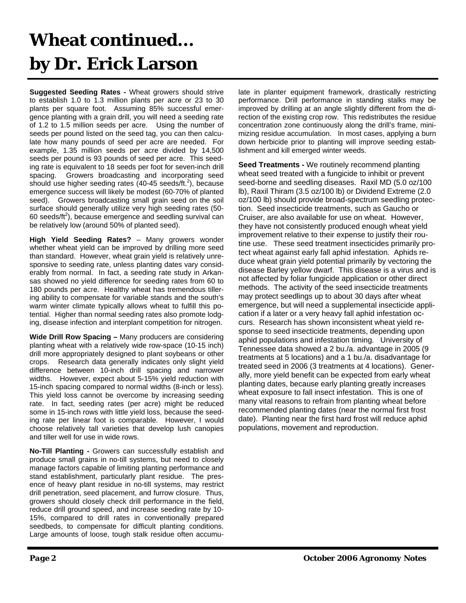## **Wheat continued... by Dr. Erick Larson**

**Suggested Seeding Rates -** Wheat growers should strive to establish 1.0 to 1.3 million plants per acre or 23 to 30 plants per square foot. Assuming 85% successful emergence planting with a grain drill, you will need a seeding rate of 1.2 to 1.5 million seeds per acre. Using the number of seeds per pound listed on the seed tag, you can then calculate how many pounds of seed per acre are needed. For example, 1.35 million seeds per acre divided by 14,500 seeds per pound is 93 pounds of seed per acre. This seeding rate is equivalent to 18 seeds per foot for seven-inch drill spacing. Growers broadcasting and incorporating seed should use higher seeding rates  $(40-45 \text{ seeds/ft.}^2)$ , because emergence success will likely be modest (60-70% of planted seed). Growers broadcasting small grain seed on the soil surface should generally utilize very high seeding rates (50- 60 seeds/ $\text{ft}^2$ ), because emergence and seedling survival can be relatively low (around 50% of planted seed).

**High Yield Seeding Rates?** – Many growers wonder whether wheat yield can be improved by drilling more seed than standard. However, wheat grain yield is relatively unresponsive to seeding rate, unless planting dates vary considerably from normal. In fact, a seeding rate study in Arkansas showed no yield difference for seeding rates from 60 to 180 pounds per acre. Healthy wheat has tremendous tillering ability to compensate for variable stands and the south's warm winter climate typically allows wheat to fulfill this potential. Higher than normal seeding rates also promote lodging, disease infection and interplant competition for nitrogen.

**Wide Drill Row Spacing –** Many producers are considering planting wheat with a relatively wide row-space (10-15 inch) drill more appropriately designed to plant soybeans or other crops. Research data generally indicates only slight yield difference between 10-inch drill spacing and narrower widths. However, expect about 5-15% yield reduction with 15-inch spacing compared to normal widths (8-inch or less). This yield loss cannot be overcome by increasing seeding rate. In fact, seeding rates (per acre) might be reduced some in 15-inch rows with little yield loss, because the seeding rate per linear foot is comparable. However, I would choose relatively tall varieties that develop lush canopies and tiller well for use in wide rows.

**No-Till Planting -** Growers can successfully establish and produce small grains in no-till systems, but need to closely manage factors capable of limiting planting performance and stand establishment, particularly plant residue. The presence of heavy plant residue in no-till systems, may restrict drill penetration, seed placement, and furrow closure. Thus, growers should closely check drill performance in the field, reduce drill ground speed, and increase seeding rate by 10- 15%, compared to drill rates in conventionally prepared seedbeds, to compensate for difficult planting conditions. Large amounts of loose, tough stalk residue often accumulate in planter equipment framework, drastically restricting performance. Drill performance in standing stalks may be improved by drilling at an angle slightly different from the direction of the existing crop row. This redistributes the residue concentration zone continuously along the drill's frame, minimizing residue accumulation. In most cases, applying a burn down herbicide prior to planting will improve seeding establishment and kill emerged winter weeds.

**Seed Treatments -** We routinely recommend planting wheat seed treated with a fungicide to inhibit or prevent seed-borne and seedling diseases. Raxil MD (5.0 oz/100 lb), Raxil Thiram (3.5 oz/100 lb) or Dividend Extreme (2.0 oz/100 lb) should provide broad-spectrum seedling protection. Seed insecticide treatments, such as Gaucho or Cruiser, are also available for use on wheat. However, they have not consistently produced enough wheat yield improvement relative to their expense to justify their routine use. These seed treatment insecticides primarily protect wheat against early fall aphid infestation. Aphids reduce wheat grain yield potential primarily by vectoring the disease Barley yellow dwarf. This disease is a virus and is not affected by foliar fungicide application or other direct methods. The activity of the seed insecticide treatments may protect seedlings up to about 30 days after wheat emergence, but will need a supplemental insecticide application if a later or a very heavy fall aphid infestation occurs. Research has shown inconsistent wheat yield response to seed insecticide treatments, depending upon aphid populations and infestation timing. University of Tennessee data showed a 2 bu./a. advantage in 2005 (9 treatments at 5 locations) and a 1 bu./a. disadvantage for treated seed in 2006 (3 treatments at 4 locations). Generally, more yield benefit can be expected from early wheat planting dates, because early planting greatly increases wheat exposure to fall insect infestation. This is one of many vital reasons to refrain from planting wheat before recommended planting dates (near the normal first frost date). Planting near the first hard frost will reduce aphid populations, movement and reproduction.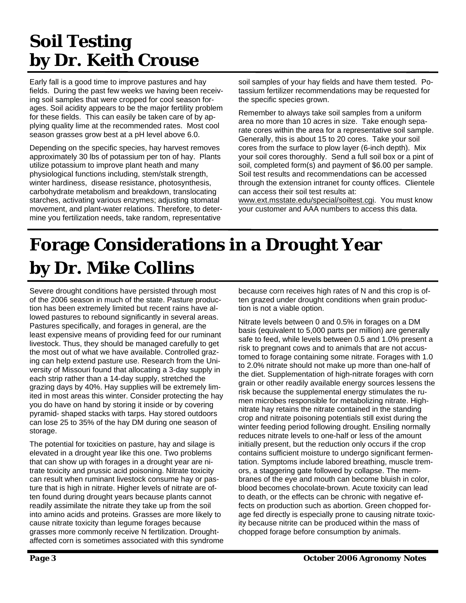#### **Soil Testing by Dr. Keith Crouse**

Early fall is a good time to improve pastures and hay fields. During the past few weeks we having been receiving soil samples that were cropped for cool season forages. Soil acidity appears to be the major fertility problem for these fields. This can easily be taken care of by applying quality lime at the recommended rates. Most cool season grasses grow best at a pH level above 6.0.

Depending on the specific species, hay harvest removes approximately 30 lbs of potassium per ton of hay. Plants utilize potassium to improve plant heath and many physiological functions including, stem/stalk strength, winter hardiness, disease resistance, photosynthesis, carbohydrate metabolism and breakdown, translocating starches, activating various enzymes; adjusting stomatal movement, and plant-water relations. Therefore, to determine you fertilization needs, take random, representative

soil samples of your hay fields and have them tested. Potassium fertilizer recommendations may be requested for the specific species grown.

Remember to always take soil samples from a uniform area no more than 10 acres in size. Take enough separate cores within the area for a representative soil sample. Generally, this is about 15 to 20 cores. Take your soil cores from the surface to plow layer (6-inch depth). Mix your soil cores thoroughly. Send a full soil box or a pint of soil, completed form(s) and payment of \$6.00 per sample. Soil test results and recommendations can be accessed through the extension intranet for county offices. Clientele can access their soil test results at:

www.ext.msstate.edu/special/soiltest.cgi. You must know your customer and AAA numbers to access this data.

#### **Forage Considerations in a Drought Year by Dr. Mike Collins**

Severe drought conditions have persisted through most of the 2006 season in much of the state. Pasture production has been extremely limited but recent rains have allowed pastures to rebound significantly in several areas. Pastures specifically, and forages in general, are the least expensive means of providing feed for our ruminant livestock. Thus, they should be managed carefully to get the most out of what we have available. Controlled grazing can help extend pasture use. Research from the University of Missouri found that allocating a 3-day supply in each strip rather than a 14-day supply, stretched the grazing days by 40%. Hay supplies will be extremely limited in most areas this winter. Consider protecting the hay you do have on hand by storing it inside or by covering pyramid- shaped stacks with tarps. Hay stored outdoors can lose 25 to 35% of the hay DM during one season of storage.

The potential for toxicities on pasture, hay and silage is elevated in a drought year like this one. Two problems that can show up with forages in a drought year are nitrate toxicity and prussic acid poisoning. Nitrate toxicity can result when ruminant livestock consume hay or pasture that is high in nitrate. Higher levels of nitrate are often found during drought years because plants cannot readily assimilate the nitrate they take up from the soil into amino acids and proteins. Grasses are more likely to cause nitrate toxicity than legume forages because grasses more commonly receive N fertilization. Droughtaffected corn is sometimes associated with this syndrome because corn receives high rates of N and this crop is often grazed under drought conditions when grain production is not a viable option.

Nitrate levels between 0 and 0.5% in forages on a DM basis (equivalent to 5,000 parts per million) are generally safe to feed, while levels between 0.5 and 1.0% present a risk to pregnant cows and to animals that are not accustomed to forage containing some nitrate. Forages with 1.0 to 2.0% nitrate should not make up more than one-half of the diet. Supplementation of high-nitrate forages with corn grain or other readily available energy sources lessens the risk because the supplemental energy stimulates the rumen microbes responsible for metabolizing nitrate. Highnitrate hay retains the nitrate contained in the standing crop and nitrate poisoning potentials still exist during the winter feeding period following drought. Ensiling normally reduces nitrate levels to one-half or less of the amount initially present, but the reduction only occurs if the crop contains sufficient moisture to undergo significant fermentation. Symptoms include labored breathing, muscle tremors, a staggering gate followed by collapse. The membranes of the eye and mouth can become bluish in color, blood becomes chocolate-brown. Acute toxicity can lead to death, or the effects can be chronic with negative effects on production such as abortion. Green chopped forage fed directly is especially prone to causing nitrate toxicity because nitrite can be produced within the mass of chopped forage before consumption by animals.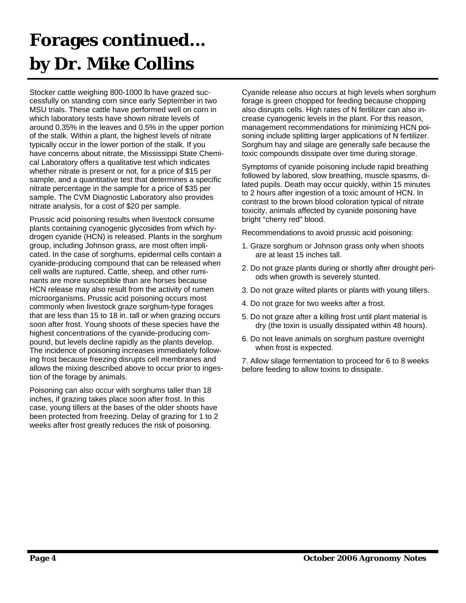## **Forages continued... by Dr. Mike Collins**

Stocker cattle weighing 800-1000 lb have grazed successfully on standing corn since early September in two MSU trials. These cattle have performed well on corn in which laboratory tests have shown nitrate levels of around 0.35% in the leaves and 0.5% in the upper portion of the stalk. Within a plant, the highest levels of nitrate typically occur in the lower portion of the stalk. If you have concerns about nitrate, the Mississippi State Chemical Laboratory offers a qualitative test which indicates whether nitrate is present or not, for a price of \$15 per sample, and a quantitative test that determines a specific nitrate percentage in the sample for a price of \$35 per sample. The CVM Diagnostic Laboratory also provides nitrate analysis, for a cost of \$20 per sample.

Prussic acid poisoning results when livestock consume plants containing cyanogenic glycosides from which hydrogen cyanide (HCN) is released. Plants in the sorghum group, including Johnson grass, are most often implicated. In the case of sorghums, epidermal cells contain a cyanide-producing compound that can be released when cell walls are ruptured. Cattle, sheep, and other ruminants are more susceptible than are horses because HCN release may also result from the activity of rumen microorganisms. Prussic acid poisoning occurs most commonly when livestock graze sorghum-type forages that are less than 15 to 18 in. tall or when grazing occurs soon after frost. Young shoots of these species have the highest concentrations of the cyanide-producing compound, but levels decline rapidly as the plants develop. The incidence of poisoning increases immediately following frost because freezing disrupts cell membranes and allows the mixing described above to occur prior to ingestion of the forage by animals.

Poisoning can also occur with sorghums taller than 18 inches, if grazing takes place soon after frost. In this case, young tillers at the bases of the older shoots have been protected from freezing. Delay of grazing for 1 to 2 weeks after frost greatly reduces the risk of poisoning.

Cyanide release also occurs at high levels when sorghum forage is green chopped for feeding because chopping also disrupts cells. High rates of N fertilizer can also increase cyanogenic levels in the plant. For this reason, management recommendations for minimizing HCN poisoning include splitting larger applications of N fertilizer. Sorghum hay and silage are generally safe because the toxic compounds dissipate over time during storage.

Symptoms of cyanide poisoning include rapid breathing followed by labored, slow breathing, muscle spasms, dilated pupils. Death may occur quickly, within 15 minutes to 2 hours after ingestion of a toxic amount of HCN. In contrast to the brown blood coloration typical of nitrate toxicity, animals affected by cyanide poisoning have bright "cherry red" blood.

Recommendations to avoid prussic acid poisoning:

- 1. Graze sorghum or Johnson grass only when shoots are at least 15 inches tall.
- 2. Do not graze plants during or shortly after drought periods when growth is severely stunted.
- 3. Do not graze wilted plants or plants with young tillers.
- 4. Do not graze for two weeks after a frost.
- 5. Do not graze after a killing frost until plant material is dry (the toxin is usually dissipated within 48 hours).
- 6. Do not leave animals on sorghum pasture overnight when frost is expected.

7. Allow silage fermentation to proceed for 6 to 8 weeks before feeding to allow toxins to dissipate.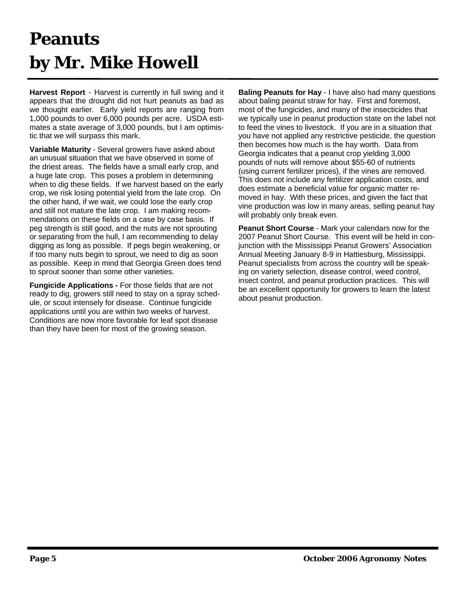## **Peanuts by Mr. Mike Howell**

**Harvest Report** - Harvest is currently in full swing and it appears that the drought did not hurt peanuts as bad as we thought earlier. Early yield reports are ranging from 1,000 pounds to over 6,000 pounds per acre. USDA estimates a state average of 3,000 pounds, but I am optimistic that we will surpass this mark.

**Variable Maturity** - Several growers have asked about an unusual situation that we have observed in some of the driest areas. The fields have a small early crop, and a huge late crop. This poses a problem in determining when to dig these fields. If we harvest based on the early crop, we risk losing potential yield from the late crop. On the other hand, if we wait, we could lose the early crop and still not mature the late crop. I am making recommendations on these fields on a case by case basis. If peg strength is still good, and the nuts are not sprouting or separating from the hull, I am recommending to delay digging as long as possible. If pegs begin weakening, or if too many nuts begin to sprout, we need to dig as soon as possible. Keep in mind that Georgia Green does tend to sprout sooner than some other varieties.

**Fungicide Applications -** For those fields that are not ready to dig, growers still need to stay on a spray schedule, or scout intensely for disease. Continue fungicide applications until you are within two weeks of harvest. Conditions are now more favorable for leaf spot disease than they have been for most of the growing season.

**Baling Peanuts for Hay** - I have also had many questions about baling peanut straw for hay. First and foremost, most of the fungicides, and many of the insecticides that we typically use in peanut production state on the label not to feed the vines to livestock. If you are in a situation that you have not applied any restrictive pesticide, the question then becomes how much is the hay worth. Data from Georgia indicates that a peanut crop yielding 3,000 pounds of nuts will remove about \$55-60 of nutrients (using current fertilizer prices), if the vines are removed. This does not include any fertilizer application costs, and does estimate a beneficial value for organic matter removed in hay. With these prices, and given the fact that vine production was low in many areas, selling peanut hay will probably only break even.

**Peanut Short Course** - Mark your calendars now for the 2007 Peanut Short Course. This event will be held in conjunction with the Mississippi Peanut Growers' Association Annual Meeting January 8-9 in Hattiesburg, Mississippi. Peanut specialists from across the country will be speaking on variety selection, disease control, weed control, insect control, and peanut production practices. This will be an excellent opportunity for growers to learn the latest about peanut production.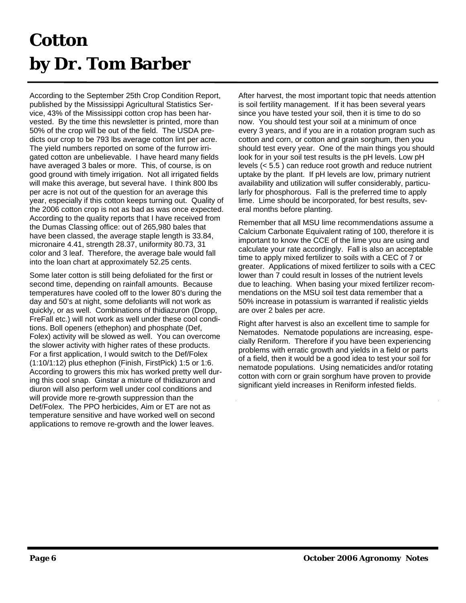### **Cotton by Dr. Tom Barber**

According to the September 25th Crop Condition Report, published by the Mississippi Agricultural Statistics Service, 43% of the Mississippi cotton crop has been harvested. By the time this newsletter is printed, more than 50% of the crop will be out of the field. The USDA predicts our crop to be 793 lbs average cotton lint per acre. The yield numbers reported on some of the furrow irrigated cotton are unbelievable. I have heard many fields have averaged 3 bales or more. This, of course, is on good ground with timely irrigation. Not all irrigated fields will make this average, but several have. I think 800 lbs per acre is not out of the question for an average this year, especially if this cotton keeps turning out. Quality of the 2006 cotton crop is not as bad as was once expected. According to the quality reports that I have received from the Dumas Classing office: out of 265,980 bales that have been classed, the average staple length is 33.84, micronaire 4.41, strength 28.37, uniformity 80.73, 31 color and 3 leaf. Therefore, the average bale would fall into the loan chart at approximately 52.25 cents.

Some later cotton is still being defoliated for the first or second time, depending on rainfall amounts. Because temperatures have cooled off to the lower 80's during the day and 50's at night, some defoliants will not work as quickly, or as well. Combinations of thidiazuron (Dropp, FreFall etc.) will not work as well under these cool conditions. Boll openers (ethephon) and phosphate (Def, Folex) activity will be slowed as well. You can overcome the slower activity with higher rates of these products. For a first application, I would switch to the Def/Folex (1:10/1:12) plus ethephon (Finish, FirstPick) 1:5 or 1:6. According to growers this mix has worked pretty well during this cool snap. Ginstar a mixture of thidiazuron and diuron will also perform well under cool conditions and will provide more re-growth suppression than the Def/Folex. The PPO herbicides, Aim or ET are not as temperature sensitive and have worked well on second applications to remove re-growth and the lower leaves.

After harvest, the most important topic that needs attention is soil fertility management. If it has been several years since you have tested your soil, then it is time to do so now. You should test your soil at a minimum of once every 3 years, and if you are in a rotation program such as cotton and corn, or cotton and grain sorghum, then you should test every year. One of the main things you should look for in your soil test results is the pH levels. Low pH levels (< 5.5 ) can reduce root growth and reduce nutrient uptake by the plant. If pH levels are low, primary nutrient availability and utilization will suffer considerably, particularly for phosphorous. Fall is the preferred time to apply lime. Lime should be incorporated, for best results, several months before planting.

Remember that all MSU lime recommendations assume a Calcium Carbonate Equivalent rating of 100, therefore it is important to know the CCE of the lime you are using and calculate your rate accordingly. Fall is also an acceptable time to apply mixed fertilizer to soils with a CEC of 7 or greater. Applications of mixed fertilizer to soils with a CEC lower than 7 could result in losses of the nutrient levels due to leaching. When basing your mixed fertilizer recommendations on the MSU soil test data remember that a 50% increase in potassium is warranted if realistic yields are over 2 bales per acre.

Right after harvest is also an excellent time to sample for Nematodes. Nematode populations are increasing, especially Reniform. Therefore if you have been experiencing problems with erratic growth and yields in a field or parts of a field, then it would be a good idea to test your soil for nematode populations. Using nematicides and/or rotating cotton with corn or grain sorghum have proven to provide significant yield increases in Reniform infested fields.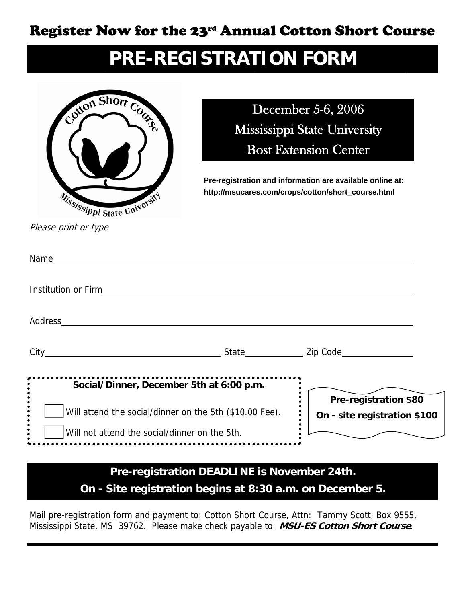#### Register Now for the 23rd Annual Cotton Short Course

#### **PRE-REGISTRATION FORM**



December 5-6, 2006 Mississippi State University Bost Extension Center

**Pre-registration and information are available online at: http://msucares.com/crops/cotton/short\_course.html** 

Please print or type

| <b>Institution or Firm in the control of the control of the control of the control of the control of the control of the control of the control of the control of the control of the control of the control of the control of the</b> |                      |                                                       |
|--------------------------------------------------------------------------------------------------------------------------------------------------------------------------------------------------------------------------------------|----------------------|-------------------------------------------------------|
|                                                                                                                                                                                                                                      |                      |                                                       |
|                                                                                                                                                                                                                                      |                      |                                                       |
| Social/Dinner, December 5th at 6:00 p.m.                                                                                                                                                                                             |                      |                                                       |
| Will attend the social/dinner on the 5th (\$10.00 Fee).                                                                                                                                                                              |                      | Pre-registration \$80<br>On - site registration \$100 |
| Will not attend the social/dinner on the 5th.                                                                                                                                                                                        |                      |                                                       |
|                                                                                                                                                                                                                                      | <b>BEABLINE</b> : NE |                                                       |

#### **Pre-registration DEADLINE is November 24th. On - Site registration begins at 8:30 a.m. on December 5.**

Mail pre-registration form and payment to: Cotton Short Course, Attn: Tammy Scott, Box 9555, Mississippi State, MS 39762. Please make check payable to: **MSU-ES Cotton Short Course**.